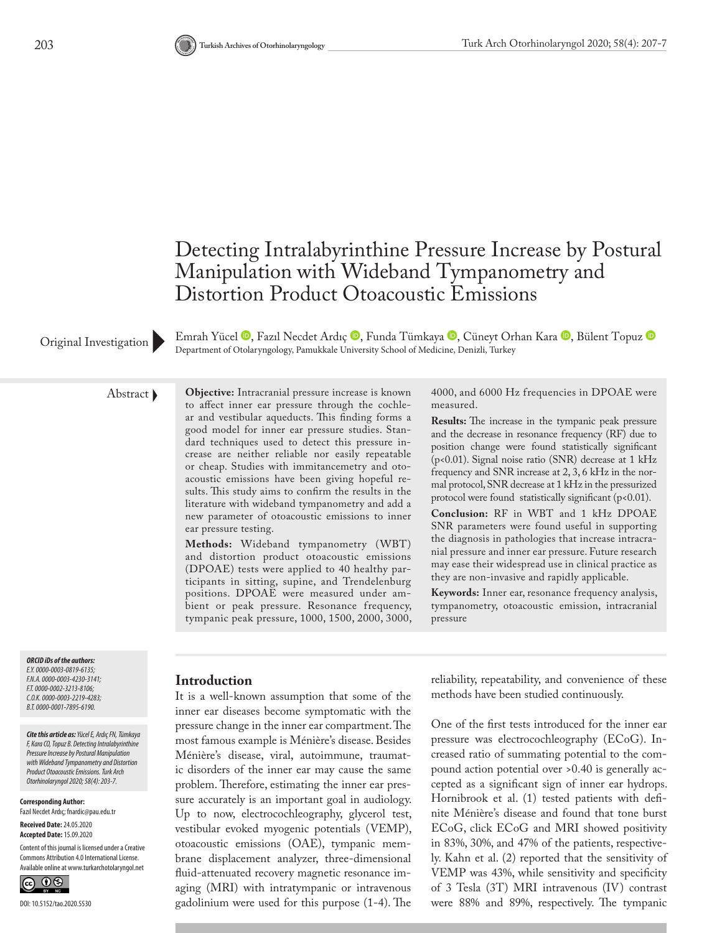

EmrahYücel <sup>®</sup>, Fazıl Necdet Ardıç ®, Funda Tümkaya ®, Cüneyt Orhan Kara ®, Bülent Topuz ® Original Investigation Department of Otolaryngology, Pamukkale University School of Medicine, Denizli, Turkey

Abstract **Objective:** Intracranial pressure increase is known to affect inner ear pressure through the cochlear and vestibular aqueducts. This finding forms a good model for inner ear pressure studies. Standard techniques used to detect this pressure increase are neither reliable nor easily repeatable or cheap. Studies with immitancemetry and otoacoustic emissions have been giving hopeful results. This study aims to confirm the results in the literature with wideband tympanometry and add a new parameter of otoacoustic emissions to inner ear pressure testing.

**Methods:** Wideband tympanometry (WBT) and distortion product otoacoustic emissions (DPOAE) tests were applied to 40 healthy participants in sitting, supine, and Trendelenburg positions. DPOAE were measured under ambient or peak pressure. Resonance frequency, tympanic peak pressure, 1000, 1500, 2000, 3000, 4000, and 6000 Hz frequencies in DPOAE were measured.

**Results:** The increase in the tympanic peak pressure and the decrease in resonance frequency (RF) due to position change were found statistically significant (p<0.01). Signal noise ratio (SNR) decrease at 1 kHz frequency and SNR increase at 2, 3, 6 kHz in the normal protocol, SNR decrease at 1 kHz in the pressurized protocol were found statistically significant (p<0.01).

**Conclusion:** RF in WBT and 1 kHz DPOAE SNR parameters were found useful in supporting the diagnosis in pathologies that increase intracranial pressure and inner ear pressure. Future research may ease their widespread use in clinical practice as they are non-invasive and rapidly applicable.

**Keywords:** Inner ear, resonance frequency analysis, tympanometry, otoacoustic emission, intracranial pressure

#### *ORCID iDs of the authors: E.Y. 0000-0003-0819-6135; F.N.A. 0000-0003-4230-3141; F.T. 0000-0002-3213-8106; C.O.K. 0000-0003-2219-4283; B.T. 0000-0001-7895-6190.*

*Cite this article as: Yücel E, Ardıç FN, Tümkaya F, Kara CO, Topuz B. Detecting Intralabyrinthine Pressure Increase by Postural Manipulation with Wideband Tympanometry and Distortion Product Otoacoustic Emissions. Turk Arch Otorhinolaryngol 2020; 58(4): 203-7.*

**Corresponding Author:**  Fazıl Necdet Ardıç; fnardic@pau.edu.tr

**Received Date:** 24.05.2020 **Accepted Date:** 15.09.2020

Content of this journal is licensed under a Creative Commons Attribution 4.0 International License. Available online at www.turkarchotolaryngol.net



#### **Introduction**

It is a well-known assumption that some of the inner ear diseases become symptomatic with the pressure change in the inner ear compartment. The most famous example is Ménière's disease. Besides Ménière's disease, viral, autoimmune, traumatic disorders of the inner ear may cause the same problem. Therefore, estimating the inner ear pressure accurately is an important goal in audiology. Up to now, electrocochleography, glycerol test, vestibular evoked myogenic potentials (VEMP), otoacoustic emissions (OAE), tympanic membrane displacement analyzer, three-dimensional fluid-attenuated recovery magnetic resonance imaging (MRI) with intratympanic or intravenous gadolinium were used for this purpose (1-4). The

reliability, repeatability, and convenience of these methods have been studied continuously.

One of the first tests introduced for the inner ear pressure was electrocochleography (ECoG). Increased ratio of summating potential to the compound action potential over >0.40 is generally accepted as a significant sign of inner ear hydrops. Hornibrook et al. (1) tested patients with definite Ménière's disease and found that tone burst ECoG, click ECoG and MRI showed positivity in 83%, 30%, and 47% of the patients, respectively. Kahn et al. (2) reported that the sensitivity of VEMP was 43%, while sensitivity and specificity of 3 Tesla (3T) MRI intravenous (IV) contrast were 88% and 89%, respectively. The tympanic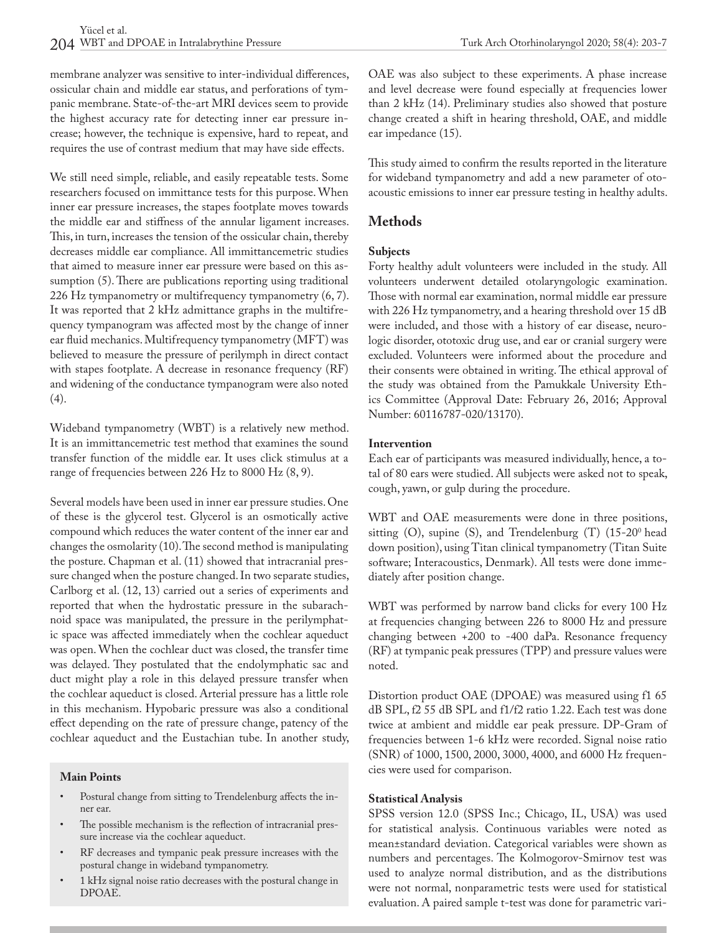membrane analyzer was sensitive to inter-individual differences, ossicular chain and middle ear status, and perforations of tympanic membrane. State-of-the-art MRI devices seem to provide the highest accuracy rate for detecting inner ear pressure increase; however, the technique is expensive, hard to repeat, and requires the use of contrast medium that may have side effects.

We still need simple, reliable, and easily repeatable tests. Some researchers focused on immittance tests for this purpose. When inner ear pressure increases, the stapes footplate moves towards the middle ear and stiffness of the annular ligament increases. This, in turn, increases the tension of the ossicular chain, thereby decreases middle ear compliance. All immittancemetric studies that aimed to measure inner ear pressure were based on this assumption (5). There are publications reporting using traditional 226 Hz tympanometry or multifrequency tympanometry (6, 7). It was reported that 2 kHz admittance graphs in the multifrequency tympanogram was affected most by the change of inner ear fluid mechanics. Multifrequency tympanometry (MFT) was believed to measure the pressure of perilymph in direct contact with stapes footplate. A decrease in resonance frequency (RF) and widening of the conductance tympanogram were also noted  $(4).$ 

Wideband tympanometry (WBT) is a relatively new method. It is an immittancemetric test method that examines the sound transfer function of the middle ear. It uses click stimulus at a range of frequencies between 226 Hz to 8000 Hz (8, 9).

Several models have been used in inner ear pressure studies. One of these is the glycerol test. Glycerol is an osmotically active compound which reduces the water content of the inner ear and changes the osmolarity (10). The second method is manipulating the posture. Chapman et al. (11) showed that intracranial pressure changed when the posture changed. In two separate studies, Carlborg et al. (12, 13) carried out a series of experiments and reported that when the hydrostatic pressure in the subarachnoid space was manipulated, the pressure in the perilymphatic space was affected immediately when the cochlear aqueduct was open. When the cochlear duct was closed, the transfer time was delayed. They postulated that the endolymphatic sac and duct might play a role in this delayed pressure transfer when the cochlear aqueduct is closed. Arterial pressure has a little role in this mechanism. Hypobaric pressure was also a conditional effect depending on the rate of pressure change, patency of the cochlear aqueduct and the Eustachian tube. In another study,

#### **Main Points**

- Postural change from sitting to Trendelenburg affects the inner ear.
- The possible mechanism is the reflection of intracranial pressure increase via the cochlear aqueduct.
- RF decreases and tympanic peak pressure increases with the postural change in wideband tympanometry.
- 1 kHz signal noise ratio decreases with the postural change in DPOAE.

OAE was also subject to these experiments. A phase increase and level decrease were found especially at frequencies lower than 2 kHz (14). Preliminary studies also showed that posture change created a shift in hearing threshold, OAE, and middle ear impedance (15).

This study aimed to confirm the results reported in the literature for wideband tympanometry and add a new parameter of otoacoustic emissions to inner ear pressure testing in healthy adults.

# **Methods**

### **Subjects**

Forty healthy adult volunteers were included in the study. All volunteers underwent detailed otolaryngologic examination. Those with normal ear examination, normal middle ear pressure with 226 Hz tympanometry, and a hearing threshold over 15 dB were included, and those with a history of ear disease, neurologic disorder, ototoxic drug use, and ear or cranial surgery were excluded. Volunteers were informed about the procedure and their consents were obtained in writing. The ethical approval of the study was obtained from the Pamukkale University Ethics Committee (Approval Date: February 26, 2016; Approval Number: 60116787-020/13170).

#### **Intervention**

Each ear of participants was measured individually, hence, a total of 80 ears were studied. All subjects were asked not to speak, cough, yawn, or gulp during the procedure.

WBT and OAE measurements were done in three positions, sitting  $(O)$ , supine  $(S)$ , and Trendelenburg  $(T)$  (15-20<sup>0</sup> head down position), using Titan clinical tympanometry (Titan Suite software; Interacoustics, Denmark). All tests were done immediately after position change.

WBT was performed by narrow band clicks for every 100 Hz at frequencies changing between 226 to 8000 Hz and pressure changing between +200 to -400 daPa. Resonance frequency (RF) at tympanic peak pressures (TPP) and pressure values were noted.

Distortion product OAE (DPOAE) was measured using f1 65 dB SPL, f2 55 dB SPL and f1/f2 ratio 1.22. Each test was done twice at ambient and middle ear peak pressure. DP-Gram of frequencies between 1-6 kHz were recorded. Signal noise ratio (SNR) of 1000, 1500, 2000, 3000, 4000, and 6000 Hz frequencies were used for comparison.

#### **Statistical Analysis**

SPSS version 12.0 (SPSS Inc.; Chicago, IL, USA) was used for statistical analysis. Continuous variables were noted as mean±standard deviation. Categorical variables were shown as numbers and percentages. The Kolmogorov-Smirnov test was used to analyze normal distribution, and as the distributions were not normal, nonparametric tests were used for statistical evaluation. A paired sample t-test was done for parametric vari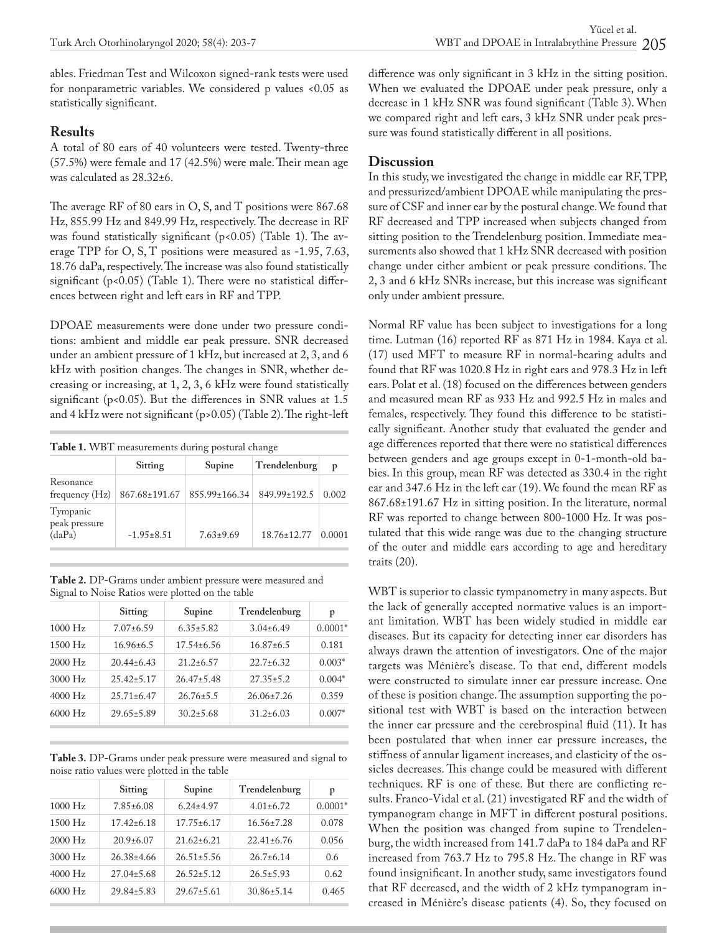ables. Friedman Test and Wilcoxon signed-rank tests were used for nonparametric variables. We considered p values <0.05 as statistically significant.

## **Results**

A total of 80 ears of 40 volunteers were tested. Twenty-three (57.5%) were female and 17 (42.5%) were male. Their mean age was calculated as 28.32±6.

The average RF of 80 ears in O, S, and T positions were 867.68 Hz, 855.99 Hz and 849.99 Hz, respectively. The decrease in RF was found statistically significant (p<0.05) (Table 1). The average TPP for O, S, T positions were measured as -1.95, 7.63, 18.76 daPa, respectively. The increase was also found statistically significant (p<0.05) (Table 1). There were no statistical differences between right and left ears in RF and TPP.

DPOAE measurements were done under two pressure conditions: ambient and middle ear peak pressure. SNR decreased under an ambient pressure of 1 kHz, but increased at 2, 3, and 6 kHz with position changes. The changes in SNR, whether decreasing or increasing, at 1, 2, 3, 6 kHz were found statistically significant (p<0.05). But the differences in SNR values at 1.5 and 4 kHz were not significant (p>0.05) (Table 2). The right-left

**Table 1.** WBT measurements during postural change

|                                     | <b>Sitting</b> | Supine          | Trendelenburg | p      |
|-------------------------------------|----------------|-----------------|---------------|--------|
| Resonance<br>frequency $(Hz)$       | 867.68±191.67  | 855.99±166.34   | 849.99±192.5  | 0.002  |
| Tympanic<br>peak pressure<br>(daPa) | $-1.95+8.51$   | $7.63 \pm 9.69$ | 18.76±12.77   | 0.0001 |

| Table 2. DP-Grams under ambient pressure were measured and |  |
|------------------------------------------------------------|--|
| Signal to Noise Ratios were plotted on the table           |  |

|           | Sitting          | Supine           | Trendelenburg    | p         |
|-----------|------------------|------------------|------------------|-----------|
| $1000$ Hz | $7.07 \pm 6.59$  | $6.35 \pm 5.82$  | $3.04\pm6.49$    | $0.0001*$ |
| $1500$ Hz | $16.96 \pm 6.5$  | $17.54 \pm 6.56$ | $16.87\pm 6.5$   | 0.181     |
| $2000$ Hz | $20.44 \pm 6.43$ | $21.2 \pm 6.57$  | $22.7 \pm 6.32$  | $0.003*$  |
| $3000$ Hz | $25.42 \pm 5.17$ | $26.47 \pm 5.48$ | $27.35 \pm 5.2$  | $0.004*$  |
| $4000$ Hz | $25.71 \pm 6.47$ | $26.76 \pm 5.5$  | $26.06 \pm 7.26$ | 0.359     |
| $6000$ Hz | $29.65 \pm 5.89$ | $30.2 \pm 5.68$  | $31.2 \pm 6.03$  | $0.007*$  |

**Table 3.** DP-Grams under peak pressure were measured and signal to noise ratio values were plotted in the table

|           | Sitting          | Supine           | Trendelenburg    | p         |
|-----------|------------------|------------------|------------------|-----------|
| $1000$ Hz | $7.85 \pm 6.08$  | $6.24 \pm 4.97$  | $4.01 \pm 6.72$  | $0.0001*$ |
| $1500$ Hz | $17.42 \pm 6.18$ | $17.75 \pm 6.17$ | $16.56 \pm 7.28$ | 0.078     |
| $2000$ Hz | $20.9+6.07$      | $21.62 \pm 6.21$ | $22.41 \pm 6.76$ | 0.056     |
| $3000$ Hz | $26.38 \pm 4.66$ | $26.51 \pm 5.56$ | $26.7 \pm 6.14$  | 0.6       |
| $4000$ Hz | $27.04 \pm 5.68$ | $26.52 \pm 5.12$ | $26.5 \pm 5.93$  | 0.62      |
| $6000$ Hz | $29.84 \pm 5.83$ | $29.67 \pm 5.61$ | $30.86 \pm 5.14$ | 0.465     |

difference was only significant in 3 kHz in the sitting position. When we evaluated the DPOAE under peak pressure, only a decrease in 1 kHz SNR was found significant (Table 3). When we compared right and left ears, 3 kHz SNR under peak pressure was found statistically different in all positions.

### **Discussion**

In this study, we investigated the change in middle ear RF, TPP, and pressurized/ambient DPOAE while manipulating the pressure of CSF and inner ear by the postural change. We found that RF decreased and TPP increased when subjects changed from sitting position to the Trendelenburg position. Immediate measurements also showed that 1 kHz SNR decreased with position change under either ambient or peak pressure conditions. The 2, 3 and 6 kHz SNRs increase, but this increase was significant only under ambient pressure.

Normal RF value has been subject to investigations for a long time. Lutman (16) reported RF as 871 Hz in 1984. Kaya et al. (17) used MFT to measure RF in normal-hearing adults and found that RF was 1020.8 Hz in right ears and 978.3 Hz in left ears. Polat et al. (18) focused on the differences between genders and measured mean RF as 933 Hz and 992.5 Hz in males and females, respectively. They found this difference to be statistically significant. Another study that evaluated the gender and age differences reported that there were no statistical differences between genders and age groups except in 0-1-month-old babies. In this group, mean RF was detected as 330.4 in the right ear and 347.6 Hz in the left ear (19). We found the mean RF as 867.68±191.67 Hz in sitting position. In the literature, normal RF was reported to change between 800-1000 Hz. It was postulated that this wide range was due to the changing structure of the outer and middle ears according to age and hereditary traits (20).

WBT is superior to classic tympanometry in many aspects. But the lack of generally accepted normative values is an important limitation. WBT has been widely studied in middle ear diseases. But its capacity for detecting inner ear disorders has always drawn the attention of investigators. One of the major targets was Ménière's disease. To that end, different models were constructed to simulate inner ear pressure increase. One of these is position change. The assumption supporting the positional test with WBT is based on the interaction between the inner ear pressure and the cerebrospinal fluid (11). It has been postulated that when inner ear pressure increases, the stiffness of annular ligament increases, and elasticity of the ossicles decreases. This change could be measured with different techniques. RF is one of these. But there are conflicting results. Franco-Vidal et al. (21) investigated RF and the width of tympanogram change in MFT in different postural positions. When the position was changed from supine to Trendelenburg, the width increased from 141.7 daPa to 184 daPa and RF increased from 763.7 Hz to 795.8 Hz. The change in RF was found insignificant. In another study, same investigators found that RF decreased, and the width of 2 kHz tympanogram increased in Ménière's disease patients (4). So, they focused on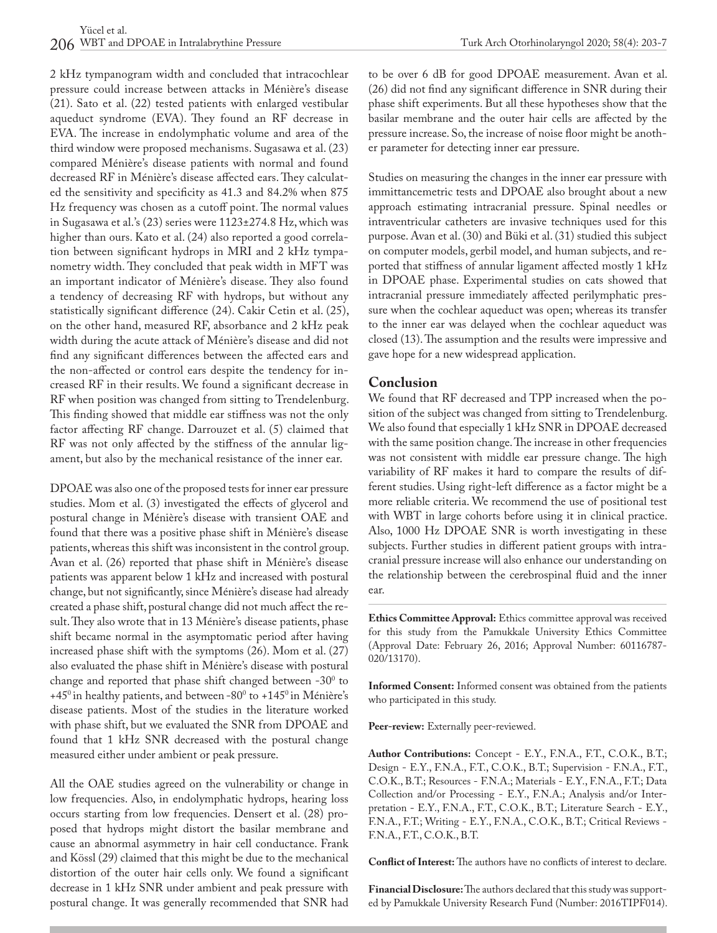2 kHz tympanogram width and concluded that intracochlear pressure could increase between attacks in Ménière's disease (21). Sato et al. (22) tested patients with enlarged vestibular aqueduct syndrome (EVA). They found an RF decrease in EVA. The increase in endolymphatic volume and area of the third window were proposed mechanisms. Sugasawa et al. (23) compared Ménière's disease patients with normal and found decreased RF in Ménière's disease affected ears. They calculated the sensitivity and specificity as 41.3 and 84.2% when 875 Hz frequency was chosen as a cutoff point. The normal values in Sugasawa et al.'s (23) series were 1123±274.8 Hz, which was higher than ours. Kato et al. (24) also reported a good correlation between significant hydrops in MRI and 2 kHz tympanometry width. They concluded that peak width in MFT was an important indicator of Ménière's disease. They also found a tendency of decreasing RF with hydrops, but without any statistically significant difference (24). Cakir Cetin et al. (25), on the other hand, measured RF, absorbance and 2 kHz peak width during the acute attack of Ménière's disease and did not find any significant differences between the affected ears and the non-affected or control ears despite the tendency for increased RF in their results. We found a significant decrease in RF when position was changed from sitting to Trendelenburg. This finding showed that middle ear stiffness was not the only factor affecting RF change. Darrouzet et al. (5) claimed that RF was not only affected by the stiffness of the annular ligament, but also by the mechanical resistance of the inner ear.

DPOAE was also one of the proposed tests for inner ear pressure studies. Mom et al. (3) investigated the effects of glycerol and postural change in Ménière's disease with transient OAE and found that there was a positive phase shift in Ménière's disease patients, whereas this shift was inconsistent in the control group. Avan et al. (26) reported that phase shift in Ménière's disease patients was apparent below 1 kHz and increased with postural change, but not significantly, since Ménière's disease had already created a phase shift, postural change did not much affect the result. They also wrote that in 13 Ménière's disease patients, phase shift became normal in the asymptomatic period after having increased phase shift with the symptoms (26). Mom et al. (27) also evaluated the phase shift in Ménière's disease with postural change and reported that phase shift changed between -30 $^{\circ}$  to +45<sup>0</sup> in healthy patients, and between -80<sup>0</sup> to +145<sup>0</sup> in Ménière's disease patients. Most of the studies in the literature worked with phase shift, but we evaluated the SNR from DPOAE and found that 1 kHz SNR decreased with the postural change measured either under ambient or peak pressure.

All the OAE studies agreed on the vulnerability or change in low frequencies. Also, in endolymphatic hydrops, hearing loss occurs starting from low frequencies. Densert et al. (28) proposed that hydrops might distort the basilar membrane and cause an abnormal asymmetry in hair cell conductance. Frank and Kössl (29) claimed that this might be due to the mechanical distortion of the outer hair cells only. We found a significant decrease in 1 kHz SNR under ambient and peak pressure with postural change. It was generally recommended that SNR had to be over 6 dB for good DPOAE measurement. Avan et al. (26) did not find any significant difference in SNR during their phase shift experiments. But all these hypotheses show that the basilar membrane and the outer hair cells are affected by the pressure increase. So, the increase of noise floor might be another parameter for detecting inner ear pressure.

Studies on measuring the changes in the inner ear pressure with immittancemetric tests and DPOAE also brought about a new approach estimating intracranial pressure. Spinal needles or intraventricular catheters are invasive techniques used for this purpose. Avan et al. (30) and Büki et al. (31) studied this subject on computer models, gerbil model, and human subjects, and reported that stiffness of annular ligament affected mostly 1 kHz in DPOAE phase. Experimental studies on cats showed that intracranial pressure immediately affected perilymphatic pressure when the cochlear aqueduct was open; whereas its transfer to the inner ear was delayed when the cochlear aqueduct was closed (13). The assumption and the results were impressive and gave hope for a new widespread application.

# **Conclusion**

We found that RF decreased and TPP increased when the position of the subject was changed from sitting to Trendelenburg. We also found that especially 1 kHz SNR in DPOAE decreased with the same position change. The increase in other frequencies was not consistent with middle ear pressure change. The high variability of RF makes it hard to compare the results of different studies. Using right-left difference as a factor might be a more reliable criteria. We recommend the use of positional test with WBT in large cohorts before using it in clinical practice. Also, 1000 Hz DPOAE SNR is worth investigating in these subjects. Further studies in different patient groups with intracranial pressure increase will also enhance our understanding on the relationship between the cerebrospinal fluid and the inner ear.

**Ethics Committee Approval:** Ethics committee approval was received for this study from the Pamukkale University Ethics Committee (Approval Date: February 26, 2016; Approval Number: 60116787- 020/13170).

**Informed Consent:** Informed consent was obtained from the patients who participated in this study.

**Peer-review:** Externally peer-reviewed.

**Author Contributions:** Concept - E.Y., F.N.A., F.T., C.O.K., B.T.; Design - E.Y., F.N.A., F.T., C.O.K., B.T.; Supervision - F.N.A., F.T., C.O.K., B.T.; Resources - F.N.A.; Materials - E.Y., F.N.A., F.T.; Data Collection and/or Processing - E.Y., F.N.A.; Analysis and/or Interpretation - E.Y., F.N.A., F.T., C.O.K., B.T.; Literature Search - E.Y., F.N.A., F.T.; Writing - E.Y., F.N.A., C.O.K., B.T.; Critical Reviews - F.N.A., F.T., C.O.K., B.T.

**Conflict of Interest:** The authors have no conflicts of interest to declare.

**Financial Disclosure:** The authors declared that this study was supported by Pamukkale University Research Fund (Number: 2016TIPF014).